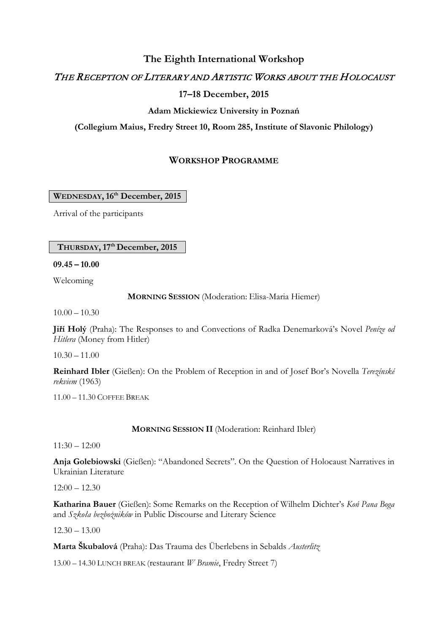# **The Eighth International Workshop**

# THE RECEPTION OF LITERARY AND ARTISTIC WORKS ABOUT THE HOLOCAUST

## **17–18 December, 2015**

**Adam Mickiewicz University in Poznań**

**(Collegium Maius, Fredry Street 10, Room 285, Institute of Slavonic Philology)**

# **WORKSHOP PROGRAMME**

## WEDNESDAY,  $16<sup>th</sup>$  **December, 2015**

Arrival of the participants

## **THURSDAY, 17th December, 2015**

#### **09.45 – 10.00**

Welcoming

**MORNING SESSION** (Moderation: Elisa-Maria Hiemer)

 $10.00 - 10.30$ 

**Jiří Holý** (Praha): The Responses to and Convections of Radka Denemarková's Novel *Peníze od Hitlera* (Money from Hitler)

 $10.30 - 11.00$ 

**Reinhard Ibler** (Gießen): On the Problem of Reception in and of Josef Bor's Novella *Terezínské rekviem* (1963)

11.00 – 11.30 COFFEE BREAK

**MORNING SESSION II** (Moderation: Reinhard Ibler)

 $11:30 - 12:00$ 

**Anja Golebiowski** (Gießen): "Abandoned Secrets". On the Question of Holocaust Narratives in Ukrainian Literature

12:00 – 12.30

**Katharina Bauer** (Gießen): Some Remarks on the Reception of Wilhelm Dichter's *Koń Pana Boga*  and *Szkoła bezbożników* in Public Discourse and Literary Science

 $12.30 - 13.00$ 

**Marta Škubalová** (Praha): Das Trauma des Überlebens in Sebalds *Austerlitz* 

13.00 – 14.30 LUNCH BREAK (restaurant *W Bramie*, Fredry Street 7)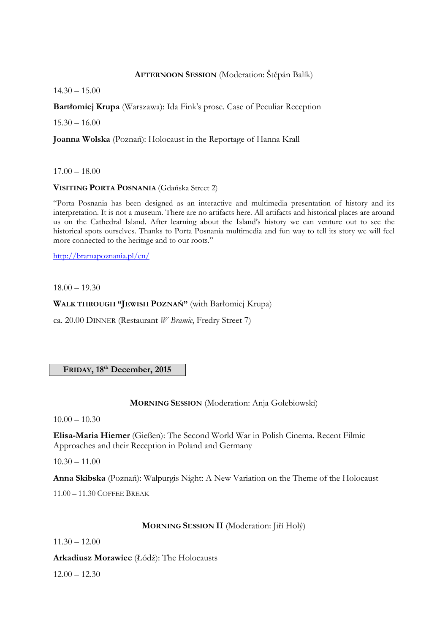## **AFTERNOON SESSION** (Moderation: Štěpán Balík)

 $14.30 - 15.00$ 

**Bartłomiej Krupa** (Warszawa): Ida Fink's prose. Case of Peculiar Reception

 $15.30 - 16.00$ 

**Joanna Wolska** (Poznań): Holocaust in the Reportage of Hanna Krall

17.00 – 18.00

#### **VISITING PORTA POSNANIA** (Gdańska Street 2)

"Porta Posnania has been designed as an interactive and multimedia presentation of history and its interpretation. It is not a museum. There are no artifacts here. All artifacts and historical places are around us on the Cathedral Island. After learning about the Island's history we can venture out to see the historical spots ourselves. Thanks to Porta Posnania multimedia and fun way to tell its story we will feel more connected to the heritage and to our roots."

<http://bramapoznania.pl/en/>

 $18.00 - 19.30$ 

## **WALK THROUGH "JEWISH POZNAŃ"** (with Barłomiej Krupa)

ca. 20.00 DINNER (Restaurant *W Bramie*, Fredry Street 7)

**FRIDAY, 18th December, 2015**

## **MORNING SESSION** (Moderation: Anja Golebiowski)

 $10.00 - 10.30$ 

**Elisa-Maria Hiemer** (Gießen): The Second World War in Polish Cinema. Recent Filmic Approaches and their Reception in Poland and Germany

 $10.30 - 11.00$ 

**Anna Skibska** (Poznań): Walpurgis Night: A New Variation on the Theme of the Holocaust

11.00 – 11.30 COFFEE BREAK

## **MORNING SESSION II** (Moderation: Jiří Holý)

 $11.30 - 12.00$ 

**Arkadiusz Morawiec** (Łódź): The Holocausts

 $12.00 - 12.30$